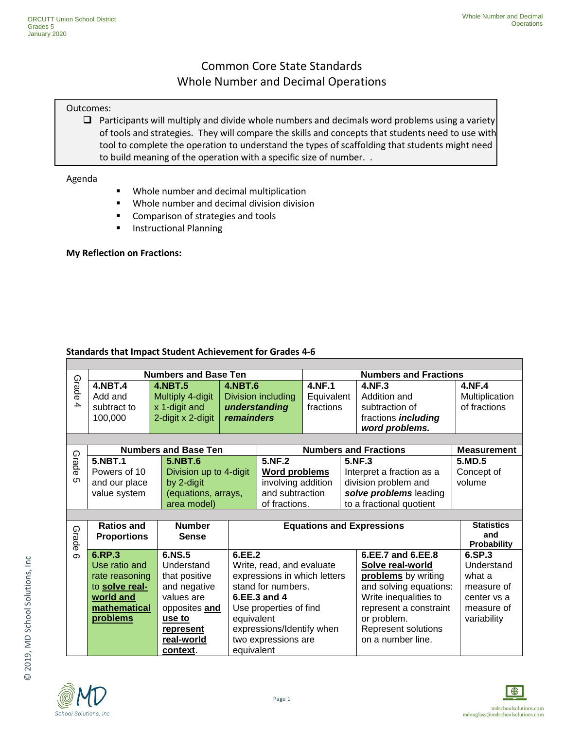## Common Core State Standards Whole Number and Decimal Operations

#### Outcomes:

 $\Box$  Participants will multiply and divide whole numbers and decimals word problems using a variety of tools and strategies. They will compare the skills and concepts that students need to use with tool to complete the operation to understand the types of scaffolding that students might need to build meaning of the operation with a specific size of number. .

Agenda

- **Whole number and decimal multiplication**
- **Whole number and decimal division division**
- **EX Comparison of strategies and tools**
- **Instructional Planning**

#### **My Reflection on Fractions:**

#### **Standards that Impact Student Achievement for Grades 4-6**

|          |                                    | <b>Numbers and Base Ten</b> |                        |                              | <b>Numbers and Fractions</b> |                        |                                  |                    |
|----------|------------------------------------|-----------------------------|------------------------|------------------------------|------------------------------|------------------------|----------------------------------|--------------------|
| Grade    | <b>4.NBT.4</b>                     | <b>4.NBT.5</b>              | 4.NBT.6                |                              | <b>4.NF.1</b>                |                        | 4.NF.3                           | 4.NF.4             |
|          | Add and                            | Multiply 4-digit            |                        | Division including           | Equivalent                   |                        | Addition and                     | Multiplication     |
| 4        | subtract to                        | x 1-digit and               |                        | understanding                |                              | fractions              | subtraction of                   | of fractions       |
|          | 100,000                            | 2-digit x 2-digit           | remainders             |                              |                              |                        | fractions <i>including</i>       |                    |
|          |                                    |                             |                        |                              |                              |                        | word problems.                   |                    |
|          |                                    |                             |                        |                              |                              |                        |                                  |                    |
|          |                                    | <b>Numbers and Base Ten</b> |                        |                              |                              |                        | <b>Numbers and Fractions</b>     | <b>Measurement</b> |
| Grade    | <b>5.NBT.1</b>                     | <b>5.NBT.6</b>              |                        | 5.NF.2                       |                              |                        | 5.NF.3                           | 5.MD.5             |
|          | Powers of 10                       |                             | Division up to 4-digit |                              | <b>Word problems</b>         |                        | Interpret a fraction as a        | Concept of         |
| ហ        | and our place                      | by 2-digit                  |                        | involving addition           |                              | division problem and   | volume                           |                    |
|          | value system                       | (equations, arrays,         |                        | and subtraction              |                              | solve problems leading |                                  |                    |
|          |                                    | area model)                 |                        |                              | of fractions.                |                        | to a fractional quotient         |                    |
|          |                                    |                             |                        |                              |                              |                        |                                  |                    |
|          | <b>Ratios and</b><br><b>Number</b> |                             |                        |                              |                              |                        | <b>Equations and Expressions</b> | <b>Statistics</b>  |
| Grade    | <b>Proportions</b>                 | <b>Sense</b>                |                        |                              |                              |                        |                                  | and                |
|          |                                    |                             |                        |                              |                              |                        |                                  | Probability        |
| $\sigma$ | 6.RP.3                             | 6.NS.5                      |                        | 6.EE.2                       |                              |                        | 6.EE.7 and 6.EE.8                | 6.SP.3             |
|          | Use ratio and                      | Understand                  |                        | Write, read, and evaluate    |                              |                        | Solve real-world                 | Understand         |
|          | rate reasoning                     | that positive               |                        | expressions in which letters |                              |                        | problems by writing              | what a             |
|          | to solve real-                     | and negative                |                        | stand for numbers.           |                              |                        | and solving equations:           | measure of         |
|          | world and                          | values are                  |                        | 6.EE.3 and 4                 |                              |                        | Write inequalities to            | center vs a        |
|          | mathematical                       | opposites and               |                        | Use properties of find       |                              | represent a constraint |                                  | measure of         |
|          | problems                           | use to                      | equivalent             |                              |                              |                        | or problem.                      | variability        |
|          |                                    | represent                   |                        | expressions/Identify when    |                              |                        | Represent solutions              |                    |
|          |                                    | real-world                  |                        | two expressions are          |                              |                        | on a number line.                |                    |
|          |                                    | context.                    | equivalent             |                              |                              |                        |                                  |                    |



© 2019, MD School Solutions, Inc

© 2019, MD School Solutions, Inc

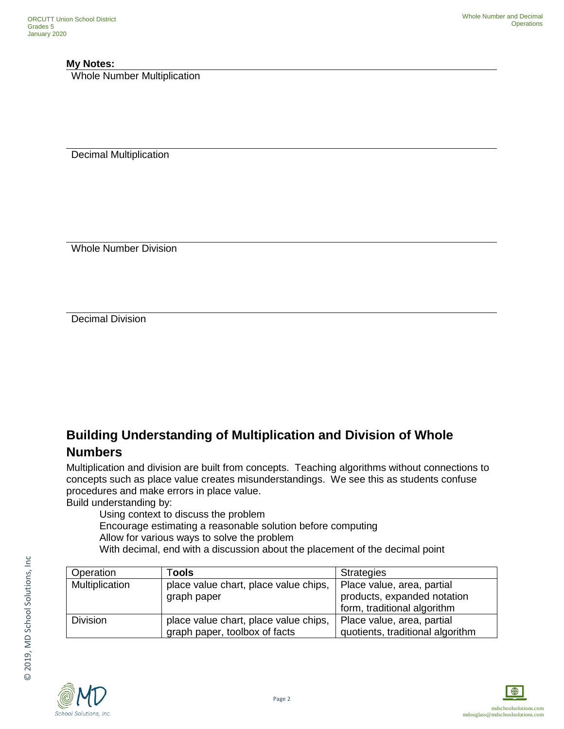#### **My Notes:**

Whole Number Multiplication

Decimal Multiplication

Whole Number Division

Decimal Division

# **Building Understanding of Multiplication and Division of Whole Numbers**

Multiplication and division are built from concepts. Teaching algorithms without connections to concepts such as place value creates misunderstandings. We see this as students confuse procedures and make errors in place value.

Build understanding by:

Using context to discuss the problem

Encourage estimating a reasonable solution before computing

Allow for various ways to solve the problem

With decimal, end with a discussion about the placement of the decimal point

| Operation       | ⊺ools                                                                  | <b>Strategies</b>                                                                        |
|-----------------|------------------------------------------------------------------------|------------------------------------------------------------------------------------------|
| Multiplication  | place value chart, place value chips,<br>graph paper                   | Place value, area, partial<br>products, expanded notation<br>form, traditional algorithm |
| <b>Division</b> | place value chart, place value chips,<br>graph paper, toolbox of facts | Place value, area, partial<br>quotients, traditional algorithm                           |





© 2019, MD School Solutions, Inc

© 2019, MD School Solutions, Inc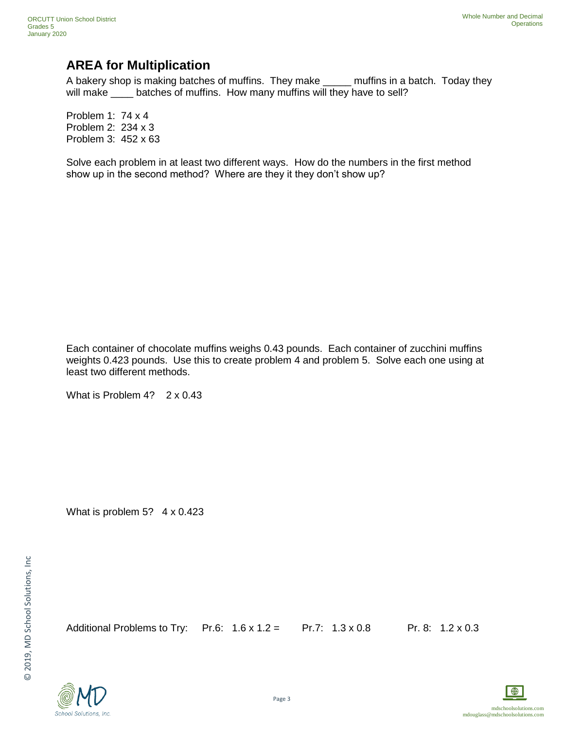## **AREA for Multiplication**

A bakery shop is making batches of muffins. They make \_\_\_\_\_ muffins in a batch. Today they will make \_\_\_\_ batches of muffins. How many muffins will they have to sell?

Problem 1: 74 x 4 Problem 2: 234 x 3 Problem 3: 452 x 63

Solve each problem in at least two different ways. How do the numbers in the first method show up in the second method? Where are they it they don't show up?

Each container of chocolate muffins weighs 0.43 pounds. Each container of zucchini muffins weights 0.423 pounds. Use this to create problem 4 and problem 5. Solve each one using at least two different methods.

What is Problem 4? 2 x 0.43

What is problem 5? 4 x 0.423

Additional Problems to Try: Pr.6:  $1.6 \times 1.2 =$  Pr.7:  $1.3 \times 0.8$  Pr.8:  $1.2 \times 0.3$ 



School Solutions, Inc.

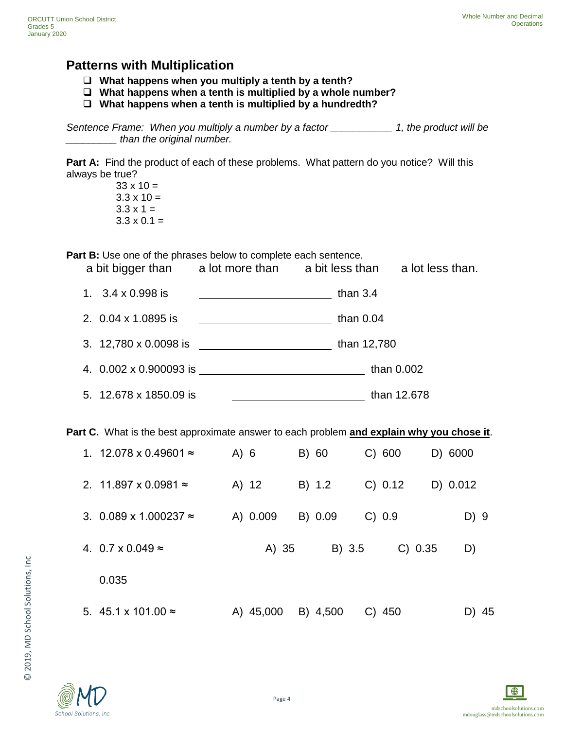### **Patterns with Multiplication**

- **What happens when you multiply a tenth by a tenth?**
- **What happens when a tenth is multiplied by a whole number?**
- **What happens when a tenth is multiplied by a hundredth?**

*Sentence Frame: When you multiply a number by a factor \_\_\_\_\_\_\_\_\_\_\_ 1, the product will be \_\_\_\_\_\_\_\_\_\_\_ than the original number.* 

Part A: Find the product of each of these problems. What pattern do you notice? Will this always be true?

 $33 \times 10 =$  $3.3 \times 10 =$  $3.3 \times 1 =$  $3.3 \times 0.1 =$ 

**Part B:** Use one of the phrases below to complete each sentence.

a bit bigger than a lot more than a bit less than a lot less than.

| 1. $3.4 \times 0.998$ is | than $3.4$ |
|--------------------------|------------|
|                          |            |

| 2. 0.04 x 1.0895 is | than $0.04$ |
|---------------------|-------------|
|---------------------|-------------|

3. 12,780 x 0.0098 is than 12,780

4. 0.002 x 0.900093 is than 0.002

5. 12.678 x 1850.09 is than 12.678

**Part C.** What is the best approximate answer to each problem **and explain why you chose it**.

| 1. 12.078 x 0.49601 $\approx$ | A) 6 |           | B) 60    | C) 600   |         | D) 6000  |
|-------------------------------|------|-----------|----------|----------|---------|----------|
| 2. 11.897 x 0.0981 $\approx$  |      | A) 12     | B) 1.2   | C) 0.12  |         | D) 0.012 |
| 3. 0.089 x 1.000237 $\approx$ |      | A) 0.009  | B) 0.09  | C) 0.9   |         | D) 9     |
| 4. $0.7 \times 0.049 \approx$ |      | A) 35     | B) 3.5   |          | C) 0.35 | D)       |
| 0.035                         |      |           |          |          |         |          |
| 5. 45.1 x 101.00 $\approx$    |      | A) 45,000 | B) 4,500 | $C)$ 450 |         | D) 45    |

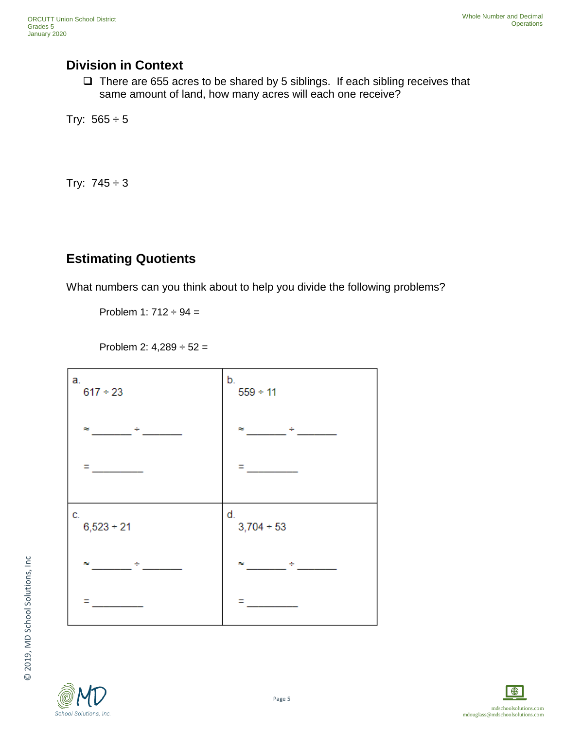## **Division in Context**

 $\Box$  There are 655 acres to be shared by 5 siblings. If each sibling receives that same amount of land, how many acres will each one receive?

Try:  $565 \div 5$ 

Try:  $745 \div 3$ 

# **Estimating Quotients**

What numbers can you think about to help you divide the following problems?

Problem 1:  $712 \div 94 =$ 

Problem 2:  $4,289 \div 52 =$ 





© 2019, MD School Solutions, Inc

© 2019, MD School Solutions, Inc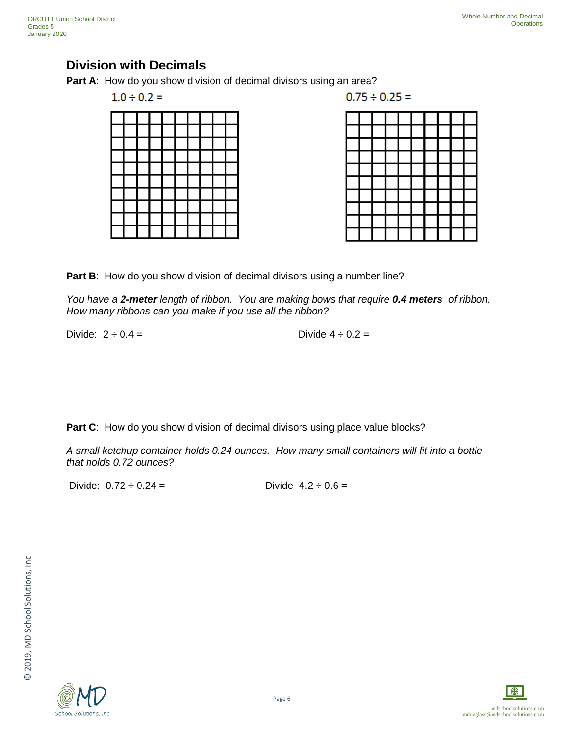## **Division with Decimals**

**Part A:** How do you show division of decimal divisors using an area?

 $1.0 \div 0.2 =$ 

 $0.75 \div 0.25 =$ 



Part B: How do you show division of decimal divisors using a number line?

*You have a 2-meter length of ribbon. You are making bows that require 0.4 meters of ribbon. How many ribbons can you make if you use all the ribbon?* 

Divide:  $2 \div 0.4 =$  Divide  $4 \div 0.2 =$ 

**Part C:** How do you show division of decimal divisors using place value blocks?

*A small ketchup container holds 0.24 ounces. How many small containers will fit into a bottle that holds 0.72 ounces?* 

Divide:  $0.72 \div 0.24 =$  Divide  $4.2 \div 0.6 =$ 

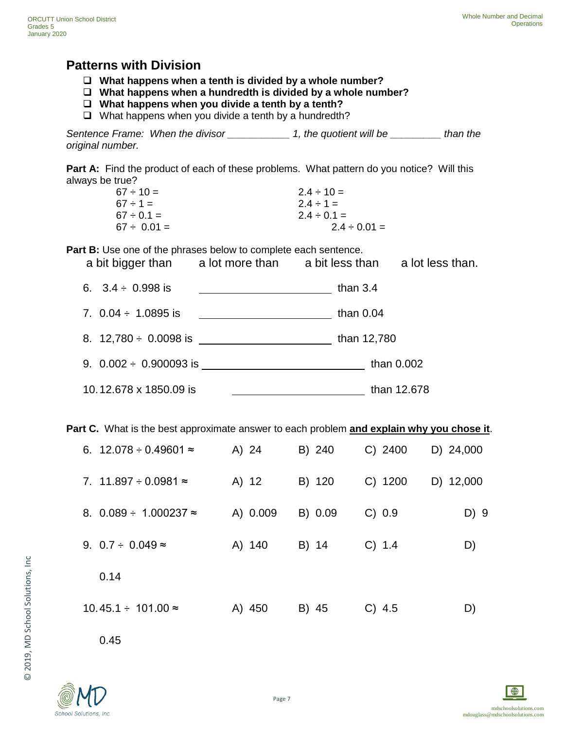### **Patterns with Division**

- **What happens when a tenth is divided by a whole number?**
- **What happens when a hundredth is divided by a whole number?**
- **What happens when you divide a tenth by a tenth?**
- $\Box$  What happens when you divide a tenth by a hundredth?

*Sentence Frame: When the divisor \_\_\_\_\_\_\_\_\_\_\_ 1, the quotient will be \_\_\_\_\_\_\_\_\_ than the original number.* 

Part A: Find the product of each of these problems. What pattern do you notice? Will this always be true?

| $67 \div 10 =$   | $2.4 \div 10 =$   |
|------------------|-------------------|
| $67 \div 1 =$    | $2.4 \div 1 =$    |
| $67 \div 0.1 =$  | $2.4 \div 0.1 =$  |
| $67 \div 0.01 =$ | $2.4 \div 0.01 =$ |

**Part B:** Use one of the phrases below to complete each sentence.

| a bit bigger than | a lot more than | a bit less than | a lot less than. |
|-------------------|-----------------|-----------------|------------------|
|                   |                 |                 |                  |

| 6. $3.4 \div 0.998$ is        | than $3.4$  |
|-------------------------------|-------------|
| 7. $0.04 \div 1.0895$ is      | than $0.04$ |
| 8. $12,780 \div 0.0098$ is    | than 12,780 |
| 9. $0.002 \div 0.900093$ is _ | than 0.002  |
| 10.12.678 x 1850.09 is        | than 12.678 |

**Part C.** What is the best approximate answer to each problem **and explain why you chose it**.

| 6. $12.078 \div 0.49601 \approx$  | A) 24    | B) 240  | $C)$ 2400 | D) 24,000 |
|-----------------------------------|----------|---------|-----------|-----------|
| 7. 11.897 $\div$ 0.0981 $\approx$ | A) 12    | B) 120  | C) 1200   | D) 12,000 |
| 8. $0.089 \div 1.000237 \approx$  | A) 0.009 | B) 0.09 | C) 0.9    | D) 9      |
| 9. $0.7 \div 0.049 \approx$       | A) 140   | B) 14   | C) 1.4    | D)        |
| 0.14                              |          |         |           |           |
| $10.45.1 \div 101.00 \approx$     | A) 450   | B) 45   | $C)$ 4.5  | D)        |

0.45